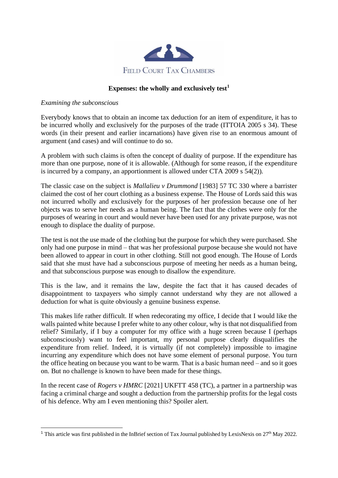

## **Expenses: the wholly and exclusively test<sup>1</sup>**

## *Examining the subconscious*

Everybody knows that to obtain an income tax deduction for an item of expenditure, it has to be incurred wholly and exclusively for the purposes of the trade (ITTOIA 2005 s 34). These words (in their present and earlier incarnations) have given rise to an enormous amount of argument (and cases) and will continue to do so.

A problem with such claims is often the concept of duality of purpose. If the expenditure has more than one purpose, none of it is allowable. (Although for some reason, if the expenditure is incurred by a company, an apportionment is allowed under CTA 2009 s 54(2)).

The classic case on the subject is *Mallalieu v Drummond* [1983] 57 TC 330 where a barrister claimed the cost of her court clothing as a business expense. The House of Lords said this was not incurred wholly and exclusively for the purposes of her profession because one of her objects was to serve her needs as a human being. The fact that the clothes were only for the purposes of wearing in court and would never have been used for any private purpose, was not enough to displace the duality of purpose.

The test is not the use made of the clothing but the purpose for which they were purchased. She only had one purpose in mind – that was her professional purpose because she would not have been allowed to appear in court in other clothing. Still not good enough. The House of Lords said that she must have had a subconscious purpose of meeting her needs as a human being, and that subconscious purpose was enough to disallow the expenditure.

This is the law, and it remains the law, despite the fact that it has caused decades of disappointment to taxpayers who simply cannot understand why they are not allowed a deduction for what is quite obviously a genuine business expense.

This makes life rather difficult. If when redecorating my office, I decide that I would like the walls painted white because I prefer white to any other colour, why is that not disqualified from relief? Similarly, if I buy a computer for my office with a huge screen because I (perhaps subconsciously) want to feel important, my personal purpose clearly disqualifies the expenditure from relief. Indeed, it is virtually (if not completely) impossible to imagine incurring any expenditure which does not have some element of personal purpose. You turn the office heating on because you want to be warm. That is a basic human need – and so it goes on. But no challenge is known to have been made for these things.

In the recent case of *Rogers v HMRC* [2021] UKFTT 458 (TC), a partner in a partnership was facing a criminal charge and sought a deduction from the partnership profits for the legal costs of his defence. Why am I even mentioning this? Spoiler alert.

<sup>&</sup>lt;sup>1</sup> This article was first published in the InBrief section of Tax Journal published by LexisNexis on  $27<sup>th</sup>$  May 2022.